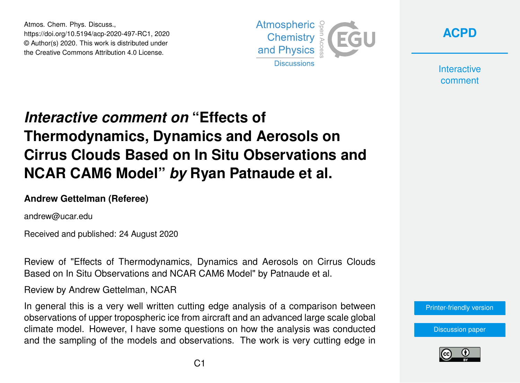Atmos. Chem. Phys. Discuss., https://doi.org/10.5194/acp-2020-497-RC1, 2020 © Author(s) 2020. This work is distributed under the Creative Commons Attribution 4.0 License.





**Interactive** comment

## *Interactive comment on* **"Effects of Thermodynamics, Dynamics and Aerosols on Cirrus Clouds Based on In Situ Observations and NCAR CAM6 Model"** *by* **Ryan Patnaude et al.**

## **Andrew Gettelman (Referee)**

andrew@ucar.edu

Received and published: 24 August 2020

Review of "Effects of Thermodynamics, Dynamics and Aerosols on Cirrus Clouds Based on In Situ Observations and NCAR CAM6 Model" by Patnaude et al.

Review by Andrew Gettelman, NCAR

In general this is a very well written cutting edge analysis of a comparison between observations of upper tropospheric ice from aircraft and an advanced large scale global climate model. However, I have some questions on how the analysis was conducted and the sampling of the models and observations. The work is very cutting edge in

[Printer-friendly version](https://acp.copernicus.org/preprints/acp-2020-497/acp-2020-497-RC1-print.pdf)

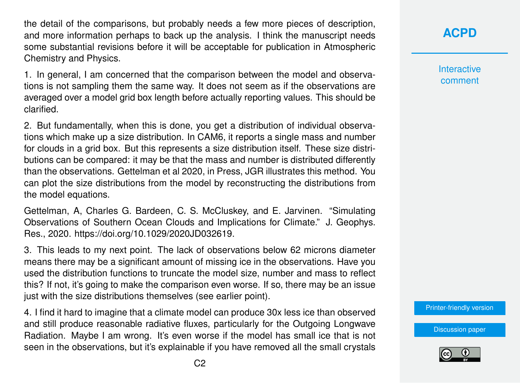the detail of the comparisons, but probably needs a few more pieces of description, and more information perhaps to back up the analysis. I think the manuscript needs some substantial revisions before it will be acceptable for publication in Atmospheric Chemistry and Physics.

1. In general, I am concerned that the comparison between the model and observations is not sampling them the same way. It does not seem as if the observations are averaged over a model grid box length before actually reporting values. This should be clarified.

2. But fundamentally, when this is done, you get a distribution of individual observations which make up a size distribution. In CAM6, it reports a single mass and number for clouds in a grid box. But this represents a size distribution itself. These size distributions can be compared: it may be that the mass and number is distributed differently than the observations. Gettelman et al 2020, in Press, JGR illustrates this method. You can plot the size distributions from the model by reconstructing the distributions from the model equations.

Gettelman, A, Charles G. Bardeen, C. S. McCluskey, and E. Jarvinen. "Simulating Observations of Southern Ocean Clouds and Implications for Climate." J. Geophys. Res., 2020. https://doi.org/10.1029/2020JD032619.

3. This leads to my next point. The lack of observations below 62 microns diameter means there may be a significant amount of missing ice in the observations. Have you used the distribution functions to truncate the model size, number and mass to reflect this? If not, it's going to make the comparison even worse. If so, there may be an issue just with the size distributions themselves (see earlier point).

4. I find it hard to imagine that a climate model can produce 30x less ice than observed and still produce reasonable radiative fluxes, particularly for the Outgoing Longwave Radiation. Maybe I am wrong. It's even worse if the model has small ice that is not seen in the observations, but it's explainable if you have removed all the small crystals

**[ACPD](https://acp.copernicus.org/preprints/)**

**Interactive** comment

[Printer-friendly version](https://acp.copernicus.org/preprints/acp-2020-497/acp-2020-497-RC1-print.pdf)

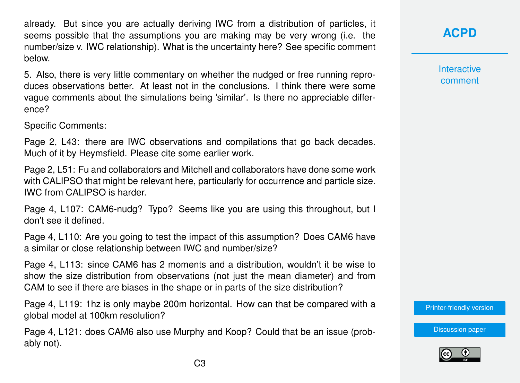already. But since you are actually deriving IWC from a distribution of particles, it seems possible that the assumptions you are making may be very wrong (i.e. the number/size v. IWC relationship). What is the uncertainty here? See specific comment below.

5. Also, there is very little commentary on whether the nudged or free running reproduces observations better. At least not in the conclusions. I think there were some vague comments about the simulations being 'similar'. Is there no appreciable difference?

Specific Comments:

Page 2, L43: there are IWC observations and compilations that go back decades. Much of it by Heymsfield. Please cite some earlier work.

Page 2, L51: Fu and collaborators and Mitchell and collaborators have done some work with CALIPSO that might be relevant here, particularly for occurrence and particle size. IWC from CALIPSO is harder.

Page 4, L107: CAM6-nudg? Typo? Seems like you are using this throughout, but I don't see it defined.

Page 4, L110: Are you going to test the impact of this assumption? Does CAM6 have a similar or close relationship between IWC and number/size?

Page 4, L113: since CAM6 has 2 moments and a distribution, wouldn't it be wise to show the size distribution from observations (not just the mean diameter) and from CAM to see if there are biases in the shape or in parts of the size distribution?

Page 4, L119: 1hz is only maybe 200m horizontal. How can that be compared with a global model at 100km resolution?

Page 4, L121: does CAM6 also use Murphy and Koop? Could that be an issue (probably not).

## **[ACPD](https://acp.copernicus.org/preprints/)**

**Interactive** comment

[Printer-friendly version](https://acp.copernicus.org/preprints/acp-2020-497/acp-2020-497-RC1-print.pdf)

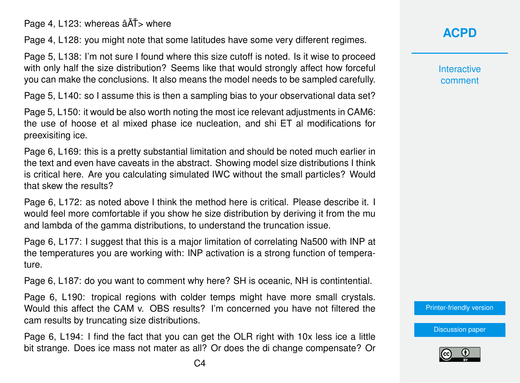Page 4, L123: whereas  $\hat{a}$ AT > where

Page 4, L128: you might note that some latitudes have some very different regimes.

Page 5, L138: I'm not sure I found where this size cutoff is noted. Is it wise to proceed with only half the size distribution? Seems like that would strongly affect how forceful you can make the conclusions. It also means the model needs to be sampled carefully.

Page 5, L140: so I assume this is then a sampling bias to your observational data set?

Page 5, L150: it would be also worth noting the most ice relevant adjustments in CAM6: the use of hoose et al mixed phase ice nucleation, and shi ET al modifications for preexisiting ice.

Page 6, L169: this is a pretty substantial limitation and should be noted much earlier in the text and even have caveats in the abstract. Showing model size distributions I think is critical here. Are you calculating simulated IWC without the small particles? Would that skew the results?

Page 6, L172: as noted above I think the method here is critical. Please describe it. I would feel more comfortable if you show he size distribution by deriving it from the mu and lambda of the gamma distributions, to understand the truncation issue.

Page 6, L177: I suggest that this is a major limitation of correlating Na500 with INP at the temperatures you are working with: INP activation is a strong function of temperature.

Page 6, L187: do you want to comment why here? SH is oceanic, NH is contintential.

Page 6, L190: tropical regions with colder temps might have more small crystals. Would this affect the CAM v. OBS results? I'm concerned you have not filtered the cam results by truncating size distributions.

Page 6, L194: I find the fact that you can get the OLR right with 10x less ice a little bit strange. Does ice mass not mater as all? Or does the di change compensate? Or **[ACPD](https://acp.copernicus.org/preprints/)**

**Interactive** comment

[Printer-friendly version](https://acp.copernicus.org/preprints/acp-2020-497/acp-2020-497-RC1-print.pdf)

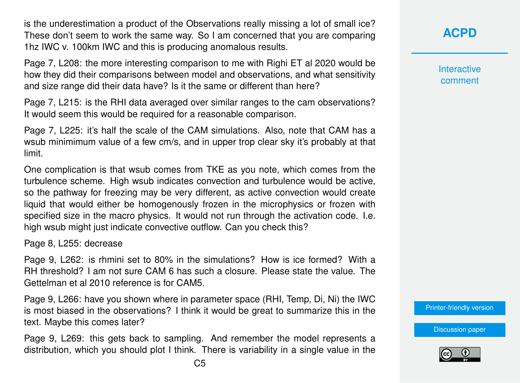is the underestimation a product of the Observations really missing a lot of small ice? These don't seem to work the same way. So I am concerned that you are comparing 1hz IWC v. 100km IWC and this is producing anomalous results.

Page 7, L208: the more interesting comparison to me with Righi ET al 2020 would be how they did their comparisons between model and observations, and what sensitivity and size range did their data have? Is it the same or different than here?

Page 7, L215: is the RHI data averaged over similar ranges to the cam observations? It would seem this would be required for a reasonable comparison.

Page 7, L225: it's half the scale of the CAM simulations. Also, note that CAM has a wsub minimimum value of a few cm/s, and in upper trop clear sky it's probably at that limit.

One complication is that wsub comes from TKE as you note, which comes from the turbulence scheme. High wsub indicates convection and turbulence would be active, so the pathway for freezing may be very different, as active convection would create liquid that would either be homogenously frozen in the microphysics or frozen with specified size in the macro physics. It would not run through the activation code. I.e. high wsub might just indicate convective outflow. Can you check this?

Page 8, L255: decrease

Page 9, L262: is rhmini set to 80% in the simulations? How is ice formed? With a RH threshold? I am not sure CAM 6 has such a closure. Please state the value. The Gettelman et al 2010 reference is for CAM5.

Page 9, L266: have you shown where in parameter space (RHI, Temp, Di, Ni) the IWC is most biased in the observations? I think it would be great to summarize this in the text. Maybe this comes later?

Page 9, L269: this gets back to sampling. And remember the model represents a distribution, which you should plot I think. There is variability in a single value in the **[ACPD](https://acp.copernicus.org/preprints/)**

**Interactive** comment

[Printer-friendly version](https://acp.copernicus.org/preprints/acp-2020-497/acp-2020-497-RC1-print.pdf)

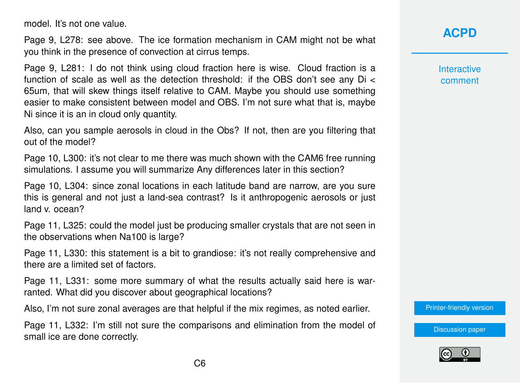model. It's not one value.

Page 9, L278: see above. The ice formation mechanism in CAM might not be what you think in the presence of convection at cirrus temps.

Page 9, L281: I do not think using cloud fraction here is wise. Cloud fraction is a function of scale as well as the detection threshold: if the OBS don't see any Di < 65um, that will skew things itself relative to CAM. Maybe you should use something easier to make consistent between model and OBS. I'm not sure what that is, maybe Ni since it is an in cloud only quantity.

Also, can you sample aerosols in cloud in the Obs? If not, then are you filtering that out of the model?

Page 10, L300: it's not clear to me there was much shown with the CAM6 free running simulations. I assume you will summarize Any differences later in this section?

Page 10, L304: since zonal locations in each latitude band are narrow, are you sure this is general and not just a land-sea contrast? Is it anthropogenic aerosols or just land v. ocean?

Page 11, L325: could the model just be producing smaller crystals that are not seen in the observations when Na100 is large?

Page 11, L330: this statement is a bit to grandiose: it's not really comprehensive and there are a limited set of factors.

Page 11, L331: some more summary of what the results actually said here is warranted. What did you discover about geographical locations?

Also, I'm not sure zonal averages are that helpful if the mix regimes, as noted earlier.

Page 11, L332: I'm still not sure the comparisons and elimination from the model of small ice are done correctly.



**Interactive** comment

[Printer-friendly version](https://acp.copernicus.org/preprints/acp-2020-497/acp-2020-497-RC1-print.pdf)